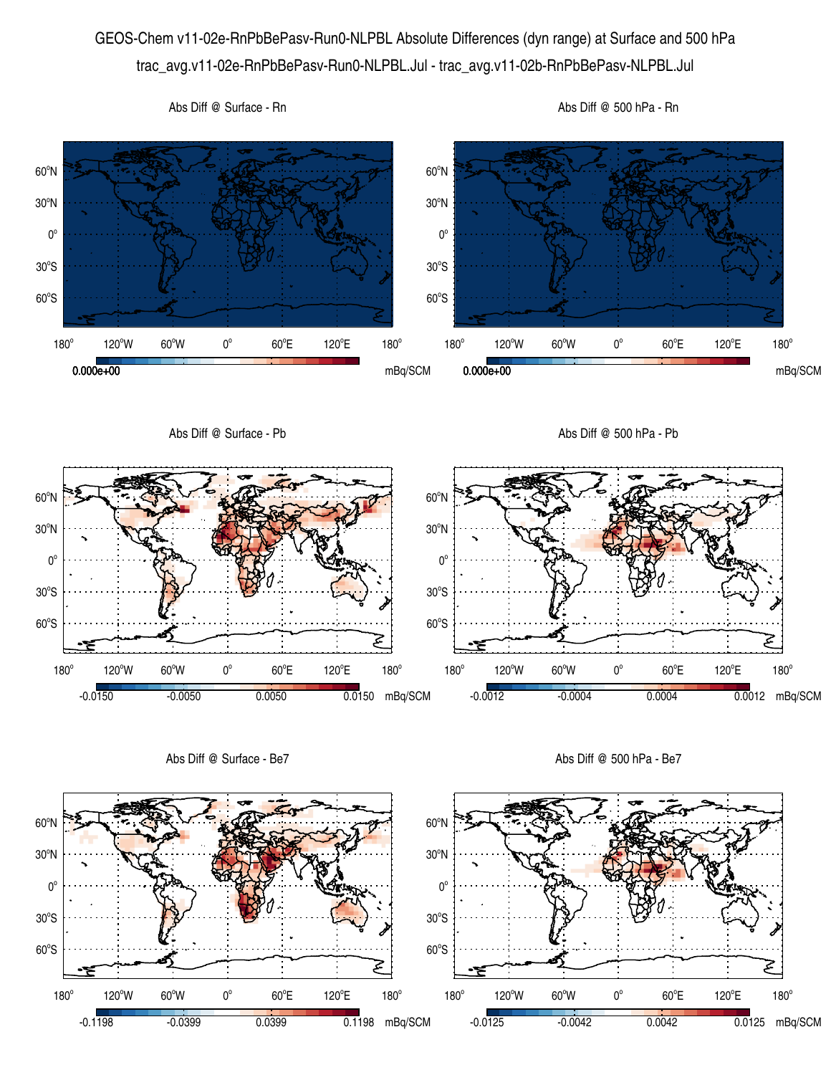## GEOS-Chem v11-02e-RnPbBePasv-Run0-NLPBL Absolute Differences (dyn range) at Surface and 500 hPa trac\_avg.v11-02e-RnPbBePasv-Run0-NLPBL.Jul - trac\_avg.v11-02b-RnPbBePasv-NLPBL.Jul



Abs Diff @ Surface - Be7

Abs Diff @ 500 hPa - Be7